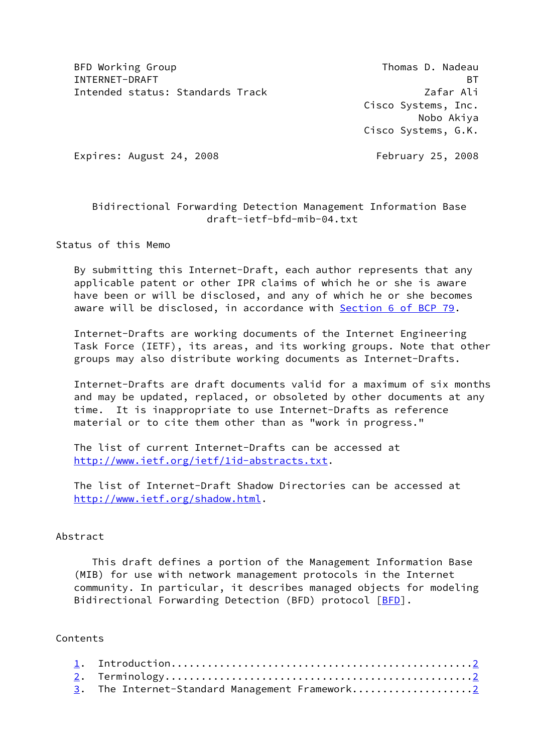BFD Working Group **Thomas D. Nadeau** INTERNET-DRAFT BT Intended status: Standards Track Zafar Ali

 Cisco Systems, Inc. Nobo Akiya Cisco Systems, G.K.

Expires: August 24, 2008 February 25, 2008

# Bidirectional Forwarding Detection Management Information Base draft-ietf-bfd-mib-04.txt

Status of this Memo

 By submitting this Internet-Draft, each author represents that any applicable patent or other IPR claims of which he or she is aware have been or will be disclosed, and any of which he or she becomes aware will be disclosed, in accordance with Section [6 of BCP 79.](https://datatracker.ietf.org/doc/pdf/bcp79#section-6)

 Internet-Drafts are working documents of the Internet Engineering Task Force (IETF), its areas, and its working groups. Note that other groups may also distribute working documents as Internet-Drafts.

 Internet-Drafts are draft documents valid for a maximum of six months and may be updated, replaced, or obsoleted by other documents at any time. It is inappropriate to use Internet-Drafts as reference material or to cite them other than as "work in progress."

 The list of current Internet-Drafts can be accessed at <http://www.ietf.org/ietf/1id-abstracts.txt>.

 The list of Internet-Draft Shadow Directories can be accessed at <http://www.ietf.org/shadow.html>.

## Abstract

 This draft defines a portion of the Management Information Base (MIB) for use with network management protocols in the Internet community. In particular, it describes managed objects for modeling Bidirectional Forwarding Detection ([BFD](#page-27-0)) protocol [BFD].

## Contents

| 3. The Internet-Standard Management Framework2 |
|------------------------------------------------|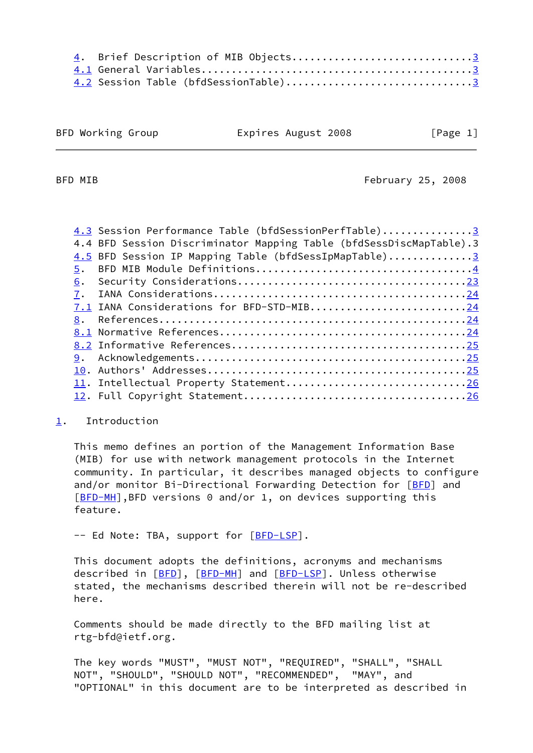| 4. Brief Description of MIB Objects3 |  |  |
|--------------------------------------|--|--|
|                                      |  |  |
| 4.2 Session Table (bfdSessionTable)3 |  |  |

|  |  | BFD Working Group |  |
|--|--|-------------------|--|
|--|--|-------------------|--|

Expires August 2008 [Page 1]

<span id="page-1-1"></span>BFD MIB **February 25, 2008** 

| 4.3 Session Performance Table (bfdSessionPerfTable)3                |
|---------------------------------------------------------------------|
| 4.4 BFD Session Discriminator Mapping Table (bfdSessDiscMapTable).3 |
| 4.5 BFD Session IP Mapping Table (bfdSessIpMapTable)3               |
| 5.                                                                  |
| 6.                                                                  |
| 7.                                                                  |
| 7.1 IANA Considerations for BFD-STD-MIB24                           |
|                                                                     |
|                                                                     |
|                                                                     |
|                                                                     |
|                                                                     |
| 11. Intellectual Property Statement26                               |
|                                                                     |
|                                                                     |

## <span id="page-1-0"></span>[1](#page-1-0). Introduction

 This memo defines an portion of the Management Information Base (MIB) for use with network management protocols in the Internet community. In particular, it describes managed objects to configure and/or monitor Bi-Directional Forwarding Detection for [\[BFD](#page-27-0)] and [\[BFD-MH](#page-27-6)], BFD versions 0 and/or 1, on devices supporting this feature.

-- Ed Note: TBA, support for [\[BFD-LSP](#page-27-7)].

 This document adopts the definitions, acronyms and mechanisms described in [\[BFD](#page-27-0)], [\[BFD-MH](#page-27-6)] and [\[BFD-LSP](#page-27-7)]. Unless otherwise stated, the mechanisms described therein will not be re-described here.

 Comments should be made directly to the BFD mailing list at rtg-bfd@ietf.org.

 The key words "MUST", "MUST NOT", "REQUIRED", "SHALL", "SHALL NOT", "SHOULD", "SHOULD NOT", "RECOMMENDED", "MAY", and "OPTIONAL" in this document are to be interpreted as described in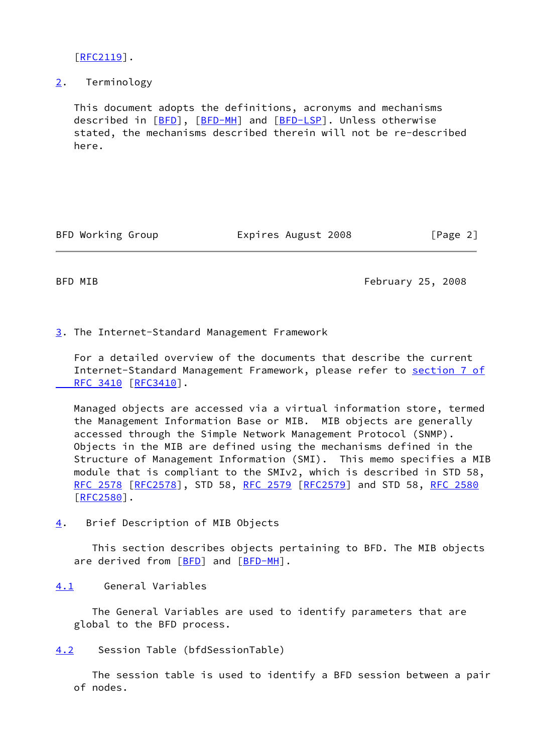$[REC2119]$ .

<span id="page-2-0"></span>[2](#page-2-0). Terminology

 This document adopts the definitions, acronyms and mechanisms described in [\[BFD](#page-27-0)], [\[BFD-MH](#page-27-6)] and [\[BFD-LSP](#page-27-7)]. Unless otherwise stated, the mechanisms described therein will not be re-described here.

BFD Working Group Expires August 2008 [Page 2]

<span id="page-2-3"></span>

BFD MIB **February 25, 2008** 

<span id="page-2-1"></span>[3](#page-2-1). The Internet-Standard Management Framework

 For a detailed overview of the documents that describe the current Internet-Standard Management Framework, please refer to [section](https://datatracker.ietf.org/doc/pdf/rfc3410#section-7) 7 of  [RFC 3410](https://datatracker.ietf.org/doc/pdf/rfc3410#section-7) [\[RFC3410](https://datatracker.ietf.org/doc/pdf/rfc3410)].

 Managed objects are accessed via a virtual information store, termed the Management Information Base or MIB. MIB objects are generally accessed through the Simple Network Management Protocol (SNMP). Objects in the MIB are defined using the mechanisms defined in the Structure of Management Information (SMI). This memo specifies a MIB module that is compliant to the SMIv2, which is described in STD 58, [RFC 2578](https://datatracker.ietf.org/doc/pdf/rfc2578) [\[RFC2578](https://datatracker.ietf.org/doc/pdf/rfc2578)], STD 58, [RFC 2579 \[RFC2579](https://datatracker.ietf.org/doc/pdf/rfc2579)] and STD 58, [RFC 2580](https://datatracker.ietf.org/doc/pdf/rfc2580) [\[RFC2580](https://datatracker.ietf.org/doc/pdf/rfc2580)].

<span id="page-2-2"></span>[4](#page-2-2). Brief Description of MIB Objects

 This section describes objects pertaining to BFD. The MIB objects are derived from [\[BFD](#page-27-0)] and [[BFD-MH](#page-27-6)].

<span id="page-2-4"></span>[4.1](#page-2-4) General Variables

 The General Variables are used to identify parameters that are global to the BFD process.

<span id="page-2-5"></span>[4.2](#page-2-5) Session Table (bfdSessionTable)

 The session table is used to identify a BFD session between a pair of nodes.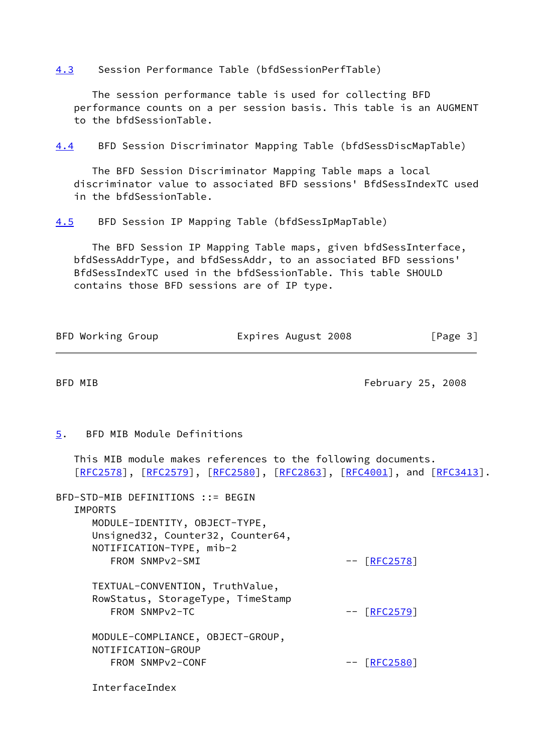<span id="page-3-0"></span>[4.3](#page-3-0) Session Performance Table (bfdSessionPerfTable)

 The session performance table is used for collecting BFD performance counts on a per session basis. This table is an AUGMENT to the bfdSessionTable.

<span id="page-3-4"></span>[4.4](#page-3-4) BFD Session Discriminator Mapping Table (bfdSessDiscMapTable)

 The BFD Session Discriminator Mapping Table maps a local discriminator value to associated BFD sessions' BfdSessIndexTC used in the bfdSessionTable.

<span id="page-3-1"></span>[4.5](#page-3-1) BFD Session IP Mapping Table (bfdSessIpMapTable)

 The BFD Session IP Mapping Table maps, given bfdSessInterface, bfdSessAddrType, and bfdSessAddr, to an associated BFD sessions' BfdSessIndexTC used in the bfdSessionTable. This table SHOULD contains those BFD sessions are of IP type.

| BFD Working Group | Expires August 2008 | [Page 3] |  |
|-------------------|---------------------|----------|--|
|-------------------|---------------------|----------|--|

<span id="page-3-3"></span>BFD MIB **February 25, 2008** 

### <span id="page-3-2"></span>[5](#page-3-2). BFD MIB Module Definitions

 This MIB module makes references to the following documents. [\[RFC2578](https://datatracker.ietf.org/doc/pdf/rfc2578)], [[RFC2579\]](https://datatracker.ietf.org/doc/pdf/rfc2579), [[RFC2580](https://datatracker.ietf.org/doc/pdf/rfc2580)], [\[RFC2863](https://datatracker.ietf.org/doc/pdf/rfc2863)], [\[RFC4001](https://datatracker.ietf.org/doc/pdf/rfc4001)], and [[RFC3413\]](https://datatracker.ietf.org/doc/pdf/rfc3413).

BFD-STD-MIB DEFINITIONS ::= BEGIN **TMPORTS**  MODULE-IDENTITY, OBJECT-TYPE, Unsigned32, Counter32, Counter64, NOTIFICATION-TYPE, mib-2 FROM SNMPv2-SMI --  $[REC2578]$  TEXTUAL-CONVENTION, TruthValue, RowStatus, StorageType, TimeStamp FROM SNMPv2-TC -- [\[RFC2579](https://datatracker.ietf.org/doc/pdf/rfc2579)] MODULE-COMPLIANCE, OBJECT-GROUP, NOTIFICATION-GROUP FROM SNMPv2-CONF -- [\[RFC2580](https://datatracker.ietf.org/doc/pdf/rfc2580)]

InterfaceIndex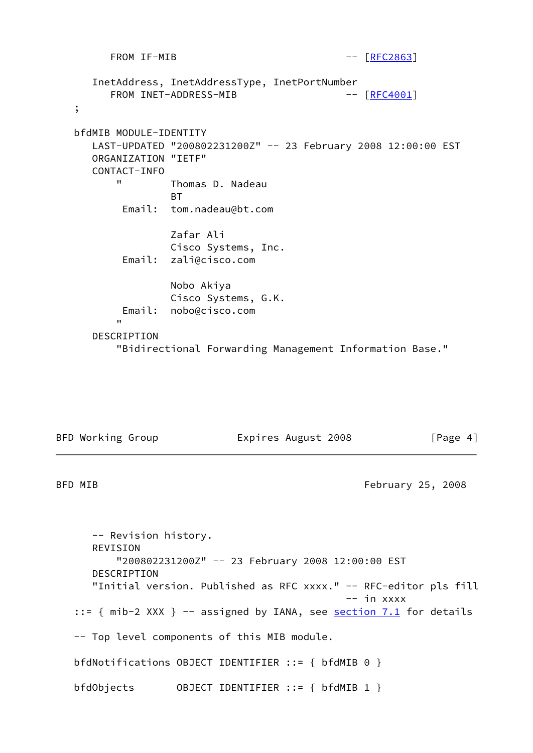FROM IF-MIB -- [\[RFC2863](https://datatracker.ietf.org/doc/pdf/rfc2863)] InetAddress, InetAddressType, InetPortNumber FROM INET-ADDRESS-MIB -- [\[RFC4001](https://datatracker.ietf.org/doc/pdf/rfc4001)] ; bfdMIB MODULE-IDENTITY LAST-UPDATED "200802231200Z" -- 23 February 2008 12:00:00 EST ORGANIZATION "IETF" CONTACT-INFO " Thomas D. Nadeau **BT** and the state of the BT Email: tom.nadeau@bt.com Zafar Ali Cisco Systems, Inc. Email: zali@cisco.com Nobo Akiya Cisco Systems, G.K. Email: nobo@cisco.com " DESCRIPTION

"Bidirectional Forwarding Management Information Base."

BFD Working Group **Expires August 2008** [Page 4]

BFD MIB **February 25, 2008** 

 -- Revision history. REVISION "200802231200Z" -- 23 February 2008 12:00:00 EST DESCRIPTION "Initial version. Published as RFC xxxx." -- RFC-editor pls fill -- in xxxx ::= { mib-2 XXX } -- assigned by IANA, see <u>[section 7.1](#page-27-1)</u> for details -- Top level components of this MIB module. bfdNotifications OBJECT IDENTIFIER ::= { bfdMIB 0 } bfdObjects OBJECT IDENTIFIER ::= { bfdMIB 1 }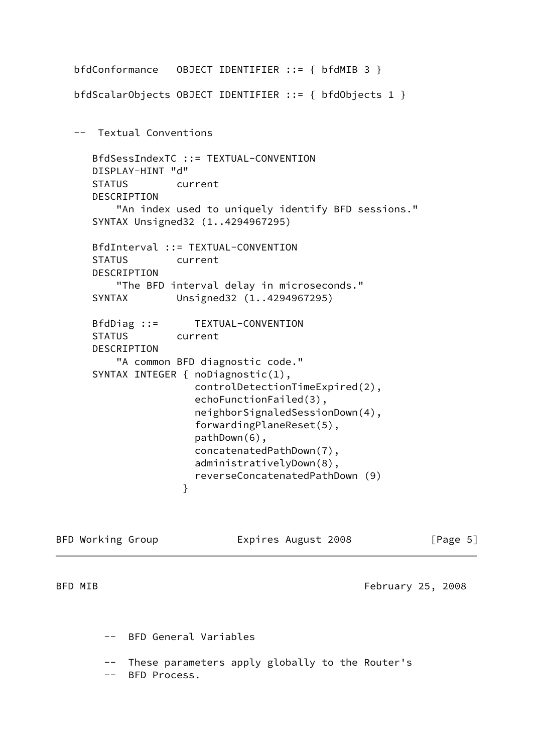```
 bfdConformance OBJECT IDENTIFIER ::= { bfdMIB 3 }
   bfdScalarObjects OBJECT IDENTIFIER ::= { bfdObjects 1 }
   -- Textual Conventions
      BfdSessIndexTC ::= TEXTUAL-CONVENTION
      DISPLAY-HINT "d"
      STATUS current
      DESCRIPTION
          "An index used to uniquely identify BFD sessions."
      SYNTAX Unsigned32 (1..4294967295)
      BfdInterval ::= TEXTUAL-CONVENTION
      STATUS current
      DESCRIPTION
          "The BFD interval delay in microseconds."
      SYNTAX Unsigned32 (1..4294967295)
      BfdDiag ::= TEXTUAL-CONVENTION
      STATUS current
      DESCRIPTION
          "A common BFD diagnostic code."
      SYNTAX INTEGER { noDiagnostic(1),
                       controlDetectionTimeExpired(2),
                       echoFunctionFailed(3),
                       neighborSignaledSessionDown(4),
                       forwardingPlaneReset(5),
                       pathDown(6),
                       concatenatedPathDown(7),
                       administrativelyDown(8),
                       reverseConcatenatedPathDown (9)
 }
```

| BFD Working Group | Expires August 2008 | [Page 5]          |
|-------------------|---------------------|-------------------|
| BFD MIB           |                     | February 25, 2008 |

-- These parameters apply globally to the Router's

-- BFD Process.

-- BFD General Variables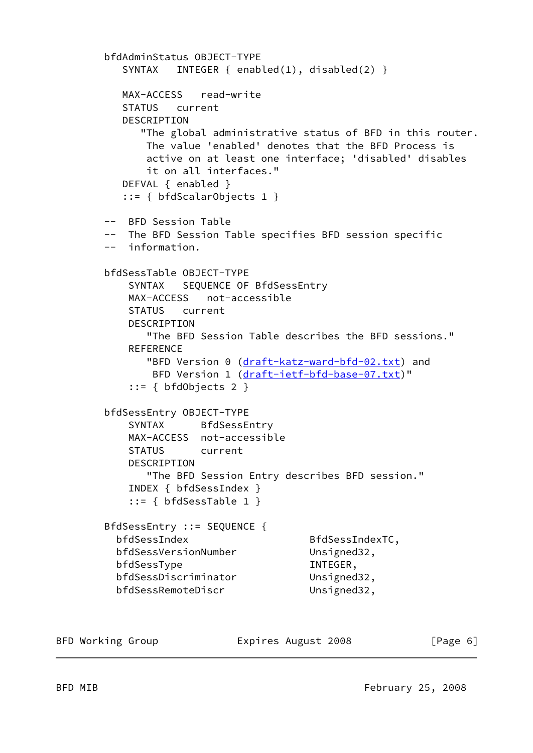```
 bfdAdminStatus OBJECT-TYPE
   SYNTAX INTEGER { enabled(1), disabled(2) }
   MAX-ACCESS read-write
   STATUS current
   DESCRIPTION
      "The global administrative status of BFD in this router.
       The value 'enabled' denotes that the BFD Process is
       active on at least one interface; 'disabled' disables
       it on all interfaces."
   DEFVAL { enabled }
   ::= { bfdScalarObjects 1 }
 -- BFD Session Table
 -- The BFD Session Table specifies BFD session specific
 -- information.
 bfdSessTable OBJECT-TYPE
    SYNTAX SEQUENCE OF BfdSessEntry
    MAX-ACCESS not-accessible
    STATUS current
    DESCRIPTION
       "The BFD Session Table describes the BFD sessions."
   REFERENCE
      draft-katz-ward-bfd-02.txt) and
       draft-ietf-bfd-base-07.txt)"
    ::= { bfdObjects 2 }
 bfdSessEntry OBJECT-TYPE
    SYNTAX BfdSessEntry
    MAX-ACCESS not-accessible
    STATUS current
    DESCRIPTION
       "The BFD Session Entry describes BFD session."
    INDEX { bfdSessIndex }
    ::= { bfdSessTable 1 }
 BfdSessEntry ::= SEQUENCE {
 bfdSessIndex BfdSessIndexTC,
  bfdSessVersionNumber Unsigned32,
 bfdSessType INTEGER,
  bfdSessDiscriminator Unsigned32,
  bfdSessRemoteDiscr Unsigned32,
```
BFD Working Group **Expires August 2008** [Page 6]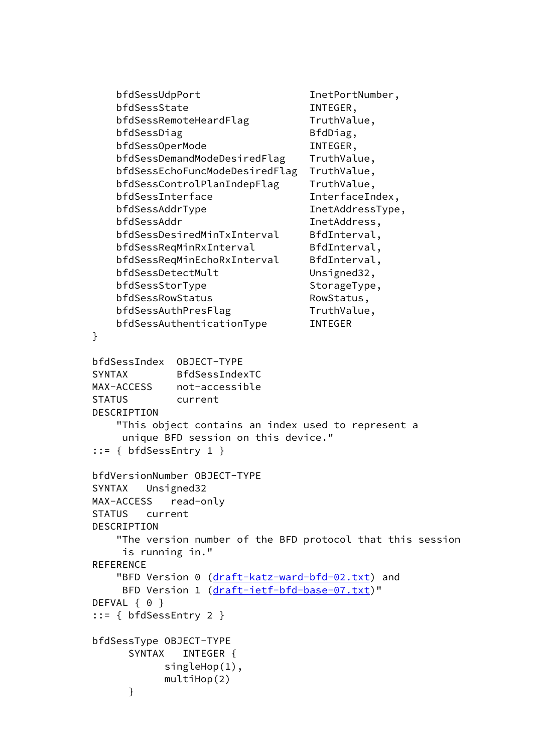```
 bfdSessUdpPort InetPortNumber,
        bfdSessState INTEGER,
        bfdSessRemoteHeardFlag TruthValue,
        bfdSessDiag BfdDiag,
         bfdSessOperMode INTEGER,
         bfdSessDemandModeDesiredFlag TruthValue,
         bfdSessEchoFuncModeDesiredFlag TruthValue,
         bfdSessControlPlanIndepFlag TruthValue,
        bfdSessInterface InterfaceIndex,
        bfdSessAddrType InetAddressType,
         bfdSessAddr InetAddress,
        bfdSessDesiredMinTxInterval BfdInterval,
        bfdSessReqMinRxInterval BfdInterval,
        bfdSessReqMinEchoRxInterval BfdInterval,
        bfdSessDetectMult Unsigned32,
        bfdSessStorType StorageType,
        bfdSessRowStatus RowStatus,
        bfdSessAuthPresFlag TruthValue,
         bfdSessAuthenticationType INTEGER
     }
     bfdSessIndex OBJECT-TYPE
     SYNTAX BfdSessIndexTC
     MAX-ACCESS not-accessible
     STATUS current
     DESCRIPTION
         "This object contains an index used to represent a
          unique BFD session on this device."
     ::= { bfdSessEntry 1 }
     bfdVersionNumber OBJECT-TYPE
     SYNTAX Unsigned32
     MAX-ACCESS read-only
     STATUS current
     DESCRIPTION
         "The version number of the BFD protocol that this session
         is running in."
     REFERENCE
        draft-katz-ward-bfd-02.txt) and
         draft-ietf-bfd-base-07.txt)"
    DEFVAL { 0 }
     ::= { bfdSessEntry 2 }
     bfdSessType OBJECT-TYPE
         SYNTAX INTEGER {
               singleHop(1),
               multiHop(2)
 }
```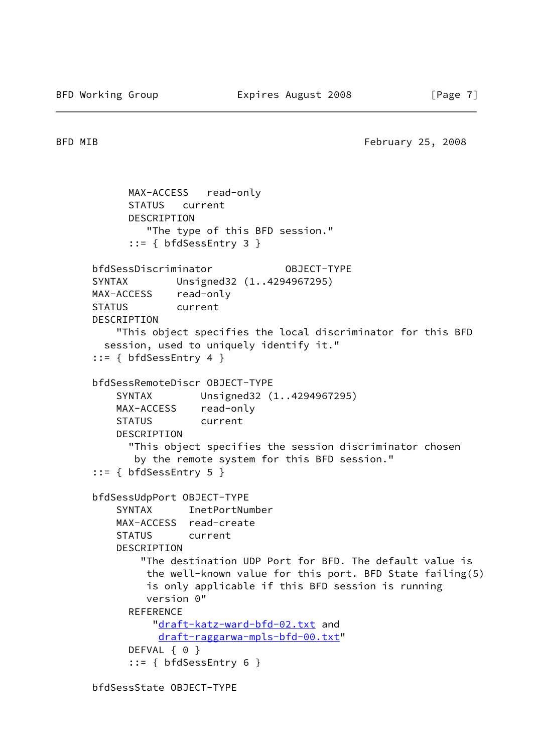BFD MIB **February 25, 2008** 

```
 MAX-ACCESS read-only
       STATUS current
       DESCRIPTION
          "The type of this BFD session."
       ::= { bfdSessEntry 3 }
 bfdSessDiscriminator OBJECT-TYPE
 SYNTAX Unsigned32 (1..4294967295)
 MAX-ACCESS read-only
 STATUS current
 DESCRIPTION
     "This object specifies the local discriminator for this BFD
   session, used to uniquely identify it."
 ::= { bfdSessEntry 4 }
 bfdSessRemoteDiscr OBJECT-TYPE
     SYNTAX Unsigned32 (1..4294967295)
     MAX-ACCESS read-only
     STATUS current
     DESCRIPTION
       "This object specifies the session discriminator chosen
        by the remote system for this BFD session."
 ::= { bfdSessEntry 5 }
 bfdSessUdpPort OBJECT-TYPE
     SYNTAX InetPortNumber
     MAX-ACCESS read-create
     STATUS current
     DESCRIPTION
         "The destination UDP Port for BFD. The default value is
          the well-known value for this port. BFD State failing(5)
          is only applicable if this BFD session is running
          version 0"
      REFERENCE
           "draft-katz-ward-bfd-02.txt and
            draft-raggarwa-mpls-bfd-00.txt"
      DEFVAL { 0 }
       ::= { bfdSessEntry 6 }
```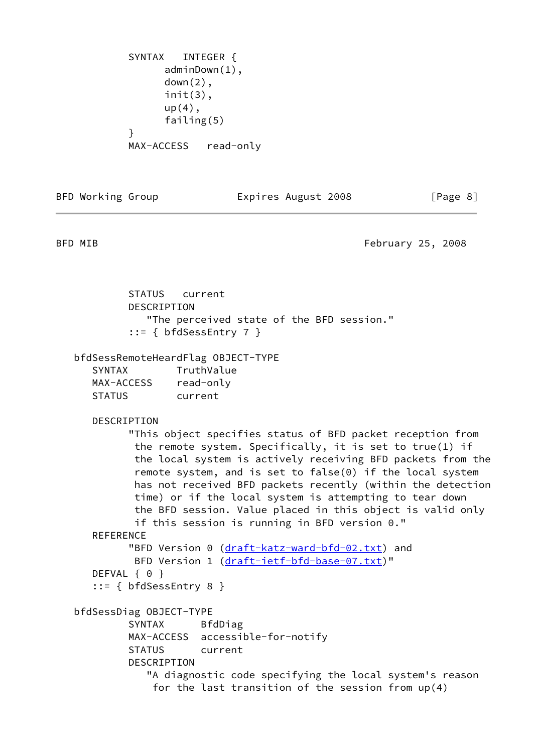SYNTAX INTEGER { adminDown(1), down(2), init(3),  $up(4)$ , failing(5) } MAX-ACCESS read-only

BFD Working Group **Expires August 2008** [Page 8]

BFD MIB **February 25, 2008** 

 STATUS current DESCRIPTION "The perceived state of the BFD session." ::= { bfdSessEntry 7 } bfdSessRemoteHeardFlag OBJECT-TYPE SYNTAX TruthValue MAX-ACCESS read-only STATUS current DESCRIPTION "This object specifies status of BFD packet reception from the remote system. Specifically, it is set to true(1) if the local system is actively receiving BFD packets from the remote system, and is set to false(0) if the local system has not received BFD packets recently (within the detection time) or if the local system is attempting to tear down the BFD session. Value placed in this object is valid only if this session is running in BFD version 0." REFERENCE "BFD Version 0 [\(draft-katz-ward-bfd-02.txt\)](https://datatracker.ietf.org/doc/pdf/draft-katz-ward-bfd-02.txt) and BFD Version 1 [\(draft-ietf-bfd-base-07.txt\)](https://datatracker.ietf.org/doc/pdf/draft-ietf-bfd-base-07.txt)" DEFVAL { 0 } ::= { bfdSessEntry 8 } bfdSessDiag OBJECT-TYPE SYNTAX BfdDiag MAX-ACCESS accessible-for-notify STATUS current DESCRIPTION "A diagnostic code specifying the local system's reason for the last transition of the session from up(4)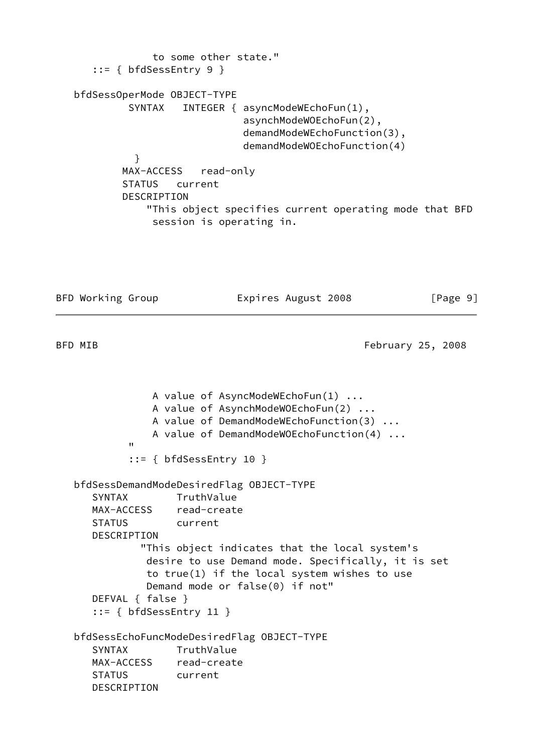```
 to some other state."
      ::= { bfdSessEntry 9 }
   bfdSessOperMode OBJECT-TYPE
           SYNTAX INTEGER { asyncModeWEchoFun(1),
                                asynchModeWOEchoFun(2),
                                demandModeWEchoFunction(3),
                                demandModeWOEchoFunction(4)
 }
           MAX-ACCESS read-only
           STATUS current
           DESCRIPTION
                "This object specifies current operating mode that BFD
                session is operating in.
```
BFD Working Group **Expires August 2008** [Page 9]

BFD MIB **February 25, 2008** 

```
 A value of AsyncModeWEchoFun(1) ...
                     A value of AsynchModeWOEchoFun(2) ...
                     A value of DemandModeWEchoFunction(3) ...
                     A value of DemandModeWOEchoFunction(4) ...
" "The Contract of the Contract of the Contract of the Contract of the Contract of the Contract of the Contract of the Contract of the Contract of the Contract of the Contract of the Contract of the Contract of the Contrac
                ::= { bfdSessEntry 10 }
    bfdSessDemandModeDesiredFlag OBJECT-TYPE
        SYNTAX TruthValue
        MAX-ACCESS read-create
        STATUS current
        DESCRIPTION
                   "This object indicates that the local system's
                    desire to use Demand mode. Specifically, it is set
                    to true(1) if the local system wishes to use
                    Demand mode or false(0) if not"
        DEFVAL { false }
        ::= { bfdSessEntry 11 }
    bfdSessEchoFuncModeDesiredFlag OBJECT-TYPE
        SYNTAX TruthValue
        MAX-ACCESS read-create
        STATUS current
        DESCRIPTION
```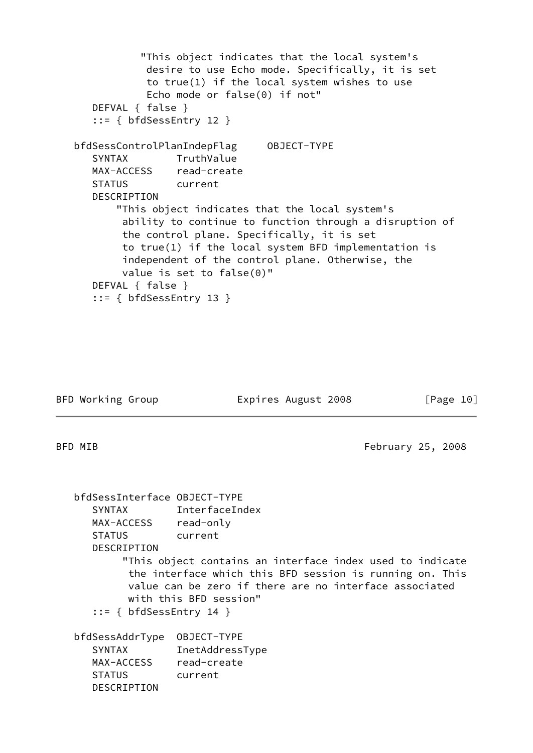"This object indicates that the local system's desire to use Echo mode. Specifically, it is set to true(1) if the local system wishes to use Echo mode or false(0) if not" DEFVAL { false } ::= { bfdSessEntry 12 } bfdSessControlPlanIndepFlag OBJECT-TYPE SYNTAX TruthValue MAX-ACCESS read-create STATUS current DESCRIPTION "This object indicates that the local system's ability to continue to function through a disruption of the control plane. Specifically, it is set to true(1) if the local system BFD implementation is independent of the control plane. Otherwise, the value is set to false(0)" DEFVAL { false } ::= { bfdSessEntry 13 }

BFD Working Group **Expires August 2008** [Page 10]

BFD MIB **February 25, 2008** 

| bfdSessInterface OBJECT-TYPE<br>MAX-ACCESS<br><b>STATUS</b><br><b>DESCRIPTION</b><br>$::= \{ bfdSessEntry 14 \}$ | SYNTAX InterfaceIndex<br>read-only<br>current<br>"This object contains an interface index used to indicate<br>the interface which this BFD session is running on. This<br>value can be zero if there are no interface associated<br>with this BFD session" |
|------------------------------------------------------------------------------------------------------------------|------------------------------------------------------------------------------------------------------------------------------------------------------------------------------------------------------------------------------------------------------------|
| bfdSessAddrType<br><b>SYNTAX</b><br>MAX-ACCESS<br><b>STATUS</b><br>DESCRIPTION                                   | OBJECT-TYPE<br>InetAddressType<br>read-create<br>current                                                                                                                                                                                                   |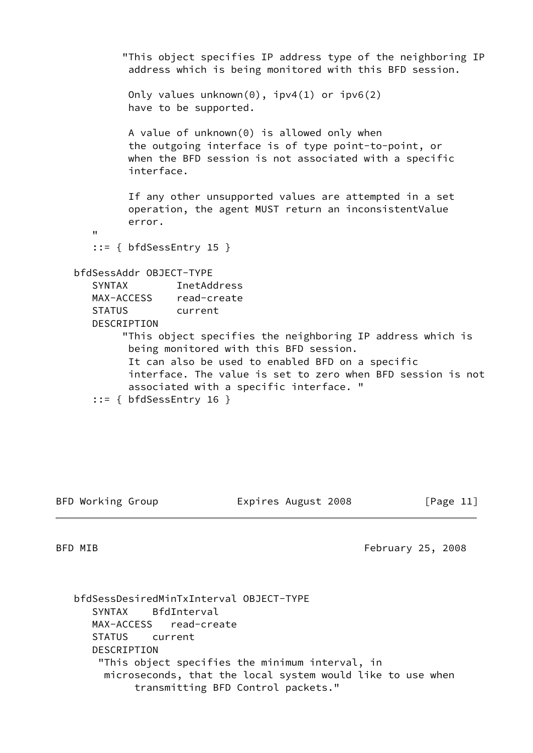"This object specifies IP address type of the neighboring IP address which is being monitored with this BFD session. Only values unknown(0), ipv4(1) or ipv6(2) have to be supported. A value of unknown(0) is allowed only when the outgoing interface is of type point-to-point, or when the BFD session is not associated with a specific interface. If any other unsupported values are attempted in a set operation, the agent MUST return an inconsistentValue error. "  $::=$  { bfdSessEntry 15 } bfdSessAddr OBJECT-TYPE SYNTAX InetAddress MAX-ACCESS read-create STATUS current DESCRIPTION "This object specifies the neighboring IP address which is being monitored with this BFD session. It can also be used to enabled BFD on a specific interface. The value is set to zero when BFD session is not associated with a specific interface. " ::= { bfdSessEntry 16 }

BFD Working Group **Expires August 2008** [Page 11]

BFD MIB **February 25, 2008** 

 bfdSessDesiredMinTxInterval OBJECT-TYPE SYNTAX BfdInterval MAX-ACCESS read-create STATUS current DESCRIPTION "This object specifies the minimum interval, in microseconds, that the local system would like to use when transmitting BFD Control packets."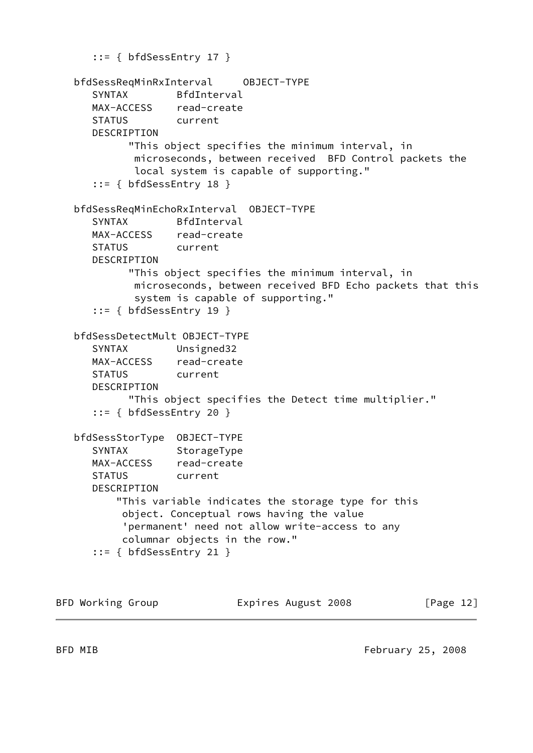```
 ::= { bfdSessEntry 17 }
 bfdSessReqMinRxInterval OBJECT-TYPE
    SYNTAX BfdInterval
    MAX-ACCESS read-create
    STATUS current
   DESCRIPTION
          "This object specifies the minimum interval, in
          microseconds, between received BFD Control packets the
          local system is capable of supporting."
    ::= { bfdSessEntry 18 }
 bfdSessReqMinEchoRxInterval OBJECT-TYPE
    SYNTAX BfdInterval
   MAX-ACCESS read-create
   STATUS current
    DESCRIPTION
         "This object specifies the minimum interval, in
          microseconds, between received BFD Echo packets that this
          system is capable of supporting."
    ::= { bfdSessEntry 19 }
 bfdSessDetectMult OBJECT-TYPE
   SYNTAX Unsigned32
   MAX-ACCESS read-create
   STATUS current
   DESCRIPTION
         "This object specifies the Detect time multiplier."
    ::= { bfdSessEntry 20 }
 bfdSessStorType OBJECT-TYPE
  SYNTAX StorageType
   MAX-ACCESS read-create
    STATUS current
   DESCRIPTION
        "This variable indicates the storage type for this
        object. Conceptual rows having the value
         'permanent' need not allow write-access to any
        columnar objects in the row."
    ::= { bfdSessEntry 21 }
```
BFD Working Group **Expires August 2008** [Page 12]

BFD MIB **February 25, 2008**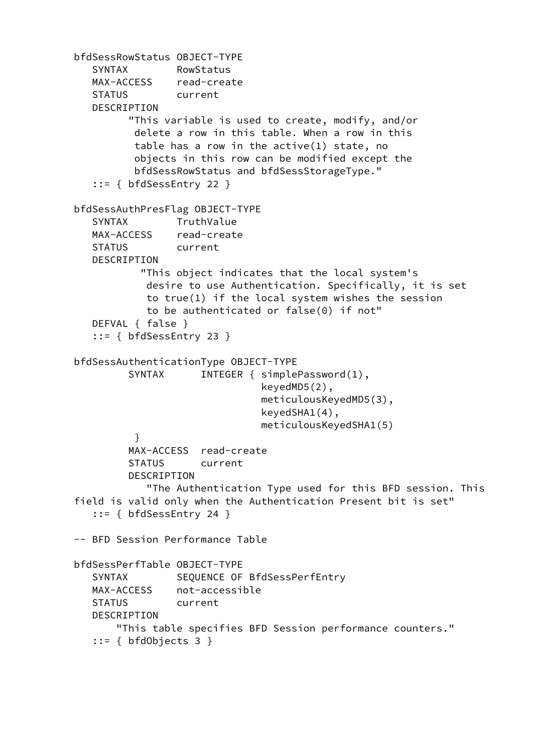```
 bfdSessRowStatus OBJECT-TYPE
      SYNTAX RowStatus
      MAX-ACCESS read-create
      STATUS current
      DESCRIPTION
            "This variable is used to create, modify, and/or
             delete a row in this table. When a row in this
             table has a row in the active(1) state, no
             objects in this row can be modified except the
             bfdSessRowStatus and bfdSessStorageType."
      ::= { bfdSessEntry 22 }
   bfdSessAuthPresFlag OBJECT-TYPE
      SYNTAX TruthValue
      MAX-ACCESS read-create
      STATUS current
      DESCRIPTION
              "This object indicates that the local system's
               desire to use Authentication. Specifically, it is set
               to true(1) if the local system wishes the session
               to be authenticated or false(0) if not"
      DEFVAL { false }
      ::= { bfdSessEntry 23 }
   bfdSessAuthenticationType OBJECT-TYPE
           SYNTAX INTEGER { simplePassword(1),
                                  keyedMD5(2),
                                  meticulousKeyedMD5(3),
                                  keyedSHA1(4),
                                  meticulousKeyedSHA1(5)
 }
            MAX-ACCESS read-create
            STATUS current
            DESCRIPTION
               "The Authentication Type used for this BFD session. This
   field is valid only when the Authentication Present bit is set"
      ::= { bfdSessEntry 24 }
   -- BFD Session Performance Table
   bfdSessPerfTable OBJECT-TYPE
     SYNTAX SEQUENCE OF BfdSessPerfEntry
      MAX-ACCESS not-accessible
      STATUS current
      DESCRIPTION
          "This table specifies BFD Session performance counters."
      ::= { bfdObjects 3 }
```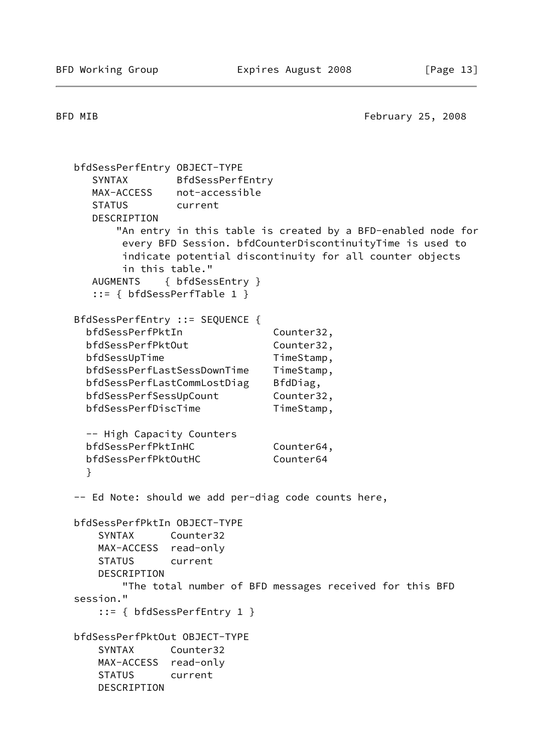BFD MIB **February 25, 2008** 

```
 bfdSessPerfEntry OBJECT-TYPE
   SYNTAX BfdSessPerfEntry
   MAX-ACCESS not-accessible
   STATUS current
   DESCRIPTION
       "An entry in this table is created by a BFD-enabled node for
        every BFD Session. bfdCounterDiscontinuityTime is used to
        indicate potential discontinuity for all counter objects
        in this table."
   AUGMENTS { bfdSessEntry }
   ::= { bfdSessPerfTable 1 }
 BfdSessPerfEntry ::= SEQUENCE {
 bfdSessPerfPktIn Counter32,
 bfdSessPerfPktOut Counter32,
 bfdSessUpTime TimeStamp,
  bfdSessPerfLastSessDownTime TimeStamp,
 bfdSessPerfLastCommLostDiag BfdDiag,
 bfdSessPerfSessUpCount Counter32,
 bfdSessPerfDiscTime TimeStamp,
  -- High Capacity Counters
 bfdSessPerfPktInHC Counter64,
 bfdSessPerfPktOutHC Counter64
  }
 -- Ed Note: should we add per-diag code counts here,
 bfdSessPerfPktIn OBJECT-TYPE
    SYNTAX Counter32
    MAX-ACCESS read-only
    STATUS current
    DESCRIPTION
        "The total number of BFD messages received for this BFD
 session."
    ::= { bfdSessPerfEntry 1 }
 bfdSessPerfPktOut OBJECT-TYPE
    SYNTAX Counter32
    MAX-ACCESS read-only
    STATUS current
    DESCRIPTION
```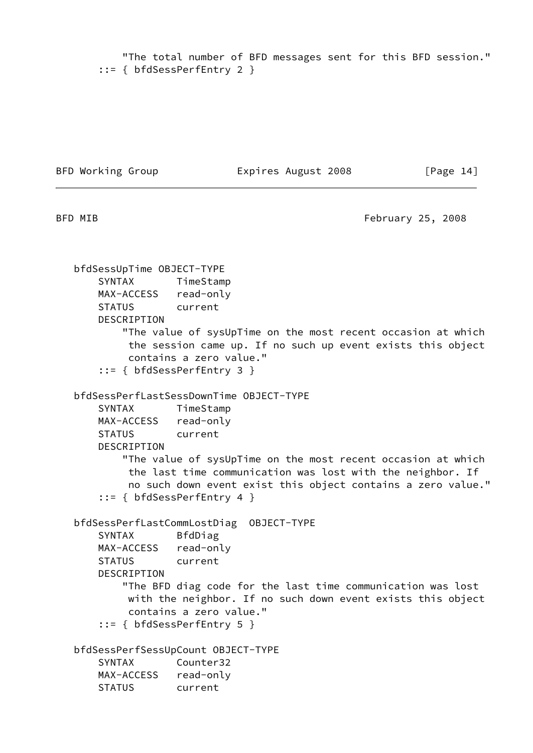"The total number of BFD messages sent for this BFD session." ::= { bfdSessPerfEntry 2 }

BFD Working Group **Expires August 2008** [Page 14]

BFD MIB **February 25, 2008** 

 bfdSessUpTime OBJECT-TYPE SYNTAX TimeStamp MAX-ACCESS read-only STATUS current DESCRIPTION "The value of sysUpTime on the most recent occasion at which the session came up. If no such up event exists this object contains a zero value." ::= { bfdSessPerfEntry 3 } bfdSessPerfLastSessDownTime OBJECT-TYPE SYNTAX TimeStamp MAX-ACCESS read-only STATUS current DESCRIPTION "The value of sysUpTime on the most recent occasion at which the last time communication was lost with the neighbor. If no such down event exist this object contains a zero value." ::= { bfdSessPerfEntry 4 } bfdSessPerfLastCommLostDiag OBJECT-TYPE SYNTAX BfdDiag MAX-ACCESS read-only STATUS current DESCRIPTION "The BFD diag code for the last time communication was lost with the neighbor. If no such down event exists this object contains a zero value." ::= { bfdSessPerfEntry 5 } bfdSessPerfSessUpCount OBJECT-TYPE SYNTAX Counter32 MAX-ACCESS read-only STATUS current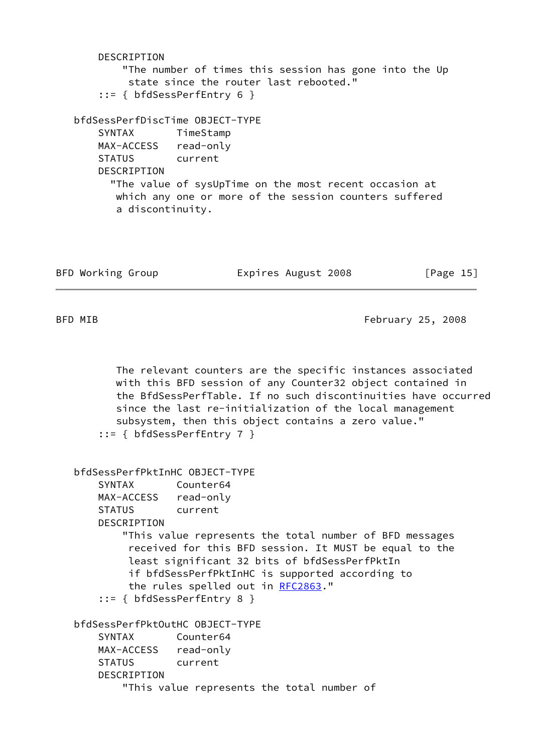```
 DESCRIPTION
         "The number of times this session has gone into the Up
          state since the router last rebooted."
     ::= { bfdSessPerfEntry 6 }
 bfdSessPerfDiscTime OBJECT-TYPE
     SYNTAX TimeStamp
     MAX-ACCESS read-only
     STATUS current
    DESCRIPTION
       "The value of sysUpTime on the most recent occasion at
        which any one or more of the session counters suffered
        a discontinuity.
```

| BFD Working Group | Expires August 2008 | [Page 15] |
|-------------------|---------------------|-----------|
|-------------------|---------------------|-----------|

BFD MIB **February 25, 2008** 

 The relevant counters are the specific instances associated with this BFD session of any Counter32 object contained in the BfdSessPerfTable. If no such discontinuities have occurred since the last re-initialization of the local management subsystem, then this object contains a zero value." ::= { bfdSessPerfEntry 7 }

```
 bfdSessPerfPktInHC OBJECT-TYPE
    SYNTAX Counter64
    MAX-ACCESS read-only
    STATUS current
    DESCRIPTION
         "This value represents the total number of BFD messages
          received for this BFD session. It MUST be equal to the
         least significant 32 bits of bfdSessPerfPktIn
         if bfdSessPerfPktInHC is supported according to
         the rules spelled out in RFC2863."
     ::= { bfdSessPerfEntry 8 }
 bfdSessPerfPktOutHC OBJECT-TYPE
    SYNTAX Counter64
    MAX-ACCESS read-only
    STATUS current
    DESCRIPTION
         "This value represents the total number of
```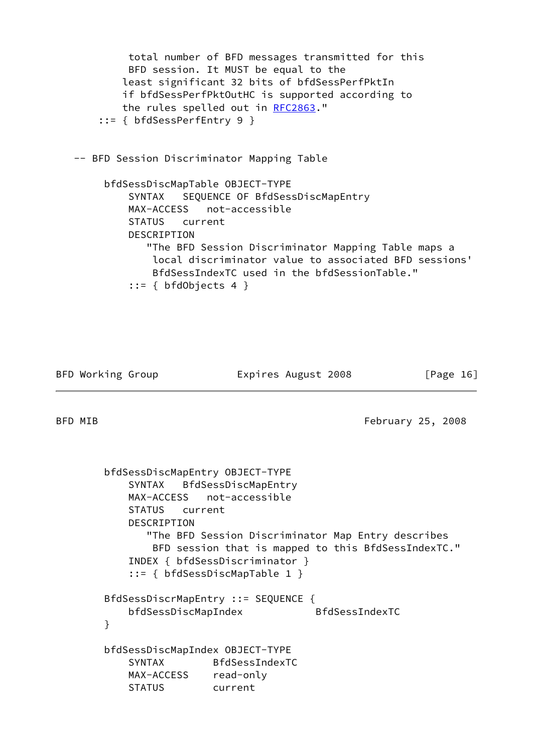total number of BFD messages transmitted for this BFD session. It MUST be equal to the least significant 32 bits of bfdSessPerfPktIn if bfdSessPerfPktOutHC is supported according to the rules spelled out in [RFC2863](https://datatracker.ietf.org/doc/pdf/rfc2863)." ::= { bfdSessPerfEntry 9 } -- BFD Session Discriminator Mapping Table bfdSessDiscMapTable OBJECT-TYPE SYNTAX SEQUENCE OF BfdSessDiscMapEntry MAX-ACCESS not-accessible STATUS current DESCRIPTION "The BFD Session Discriminator Mapping Table maps a local discriminator value to associated BFD sessions' BfdSessIndexTC used in the bfdSessionTable."  $::=$  { bfdObjects 4 }

BFD Working Group **Expires August 2008** [Page 16]

BFD MIB **February 25, 2008** 

 bfdSessDiscMapEntry OBJECT-TYPE SYNTAX BfdSessDiscMapEntry MAX-ACCESS not-accessible STATUS current DESCRIPTION "The BFD Session Discriminator Map Entry describes BFD session that is mapped to this BfdSessIndexTC." INDEX { bfdSessDiscriminator } ::= { bfdSessDiscMapTable 1 } BfdSessDiscrMapEntry ::= SEQUENCE { bfdSessDiscMapIndex BfdSessIndexTC } bfdSessDiscMapIndex OBJECT-TYPE SYNTAX BfdSessIndexTC MAX-ACCESS read-only STATUS current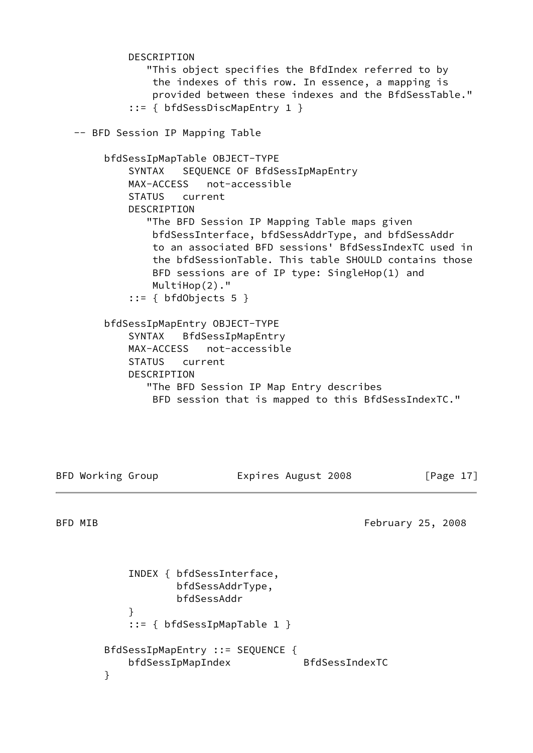DESCRIPTION "This object specifies the BfdIndex referred to by the indexes of this row. In essence, a mapping is provided between these indexes and the BfdSessTable." ::= { bfdSessDiscMapEntry 1 } -- BFD Session IP Mapping Table bfdSessIpMapTable OBJECT-TYPE SYNTAX SEQUENCE OF BfdSessIpMapEntry MAX-ACCESS not-accessible STATUS current DESCRIPTION "The BFD Session IP Mapping Table maps given bfdSessInterface, bfdSessAddrType, and bfdSessAddr to an associated BFD sessions' BfdSessIndexTC used in the bfdSessionTable. This table SHOULD contains those BFD sessions are of IP type: SingleHop(1) and MultiHop(2)." ::= { bfdObjects 5 } bfdSessIpMapEntry OBJECT-TYPE SYNTAX BfdSessIpMapEntry MAX-ACCESS not-accessible STATUS current DESCRIPTION "The BFD Session IP Map Entry describes BFD session that is mapped to this BfdSessIndexTC."

BFD Working Group **Expires August 2008** [Page 17]

BFD MIB **February 25, 2008** 

 INDEX { bfdSessInterface, bfdSessAddrType, bfdSessAddr } ::= { bfdSessIpMapTable 1 } BfdSessIpMapEntry ::= SEQUENCE { bfdSessIpMapIndex BfdSessIndexTC }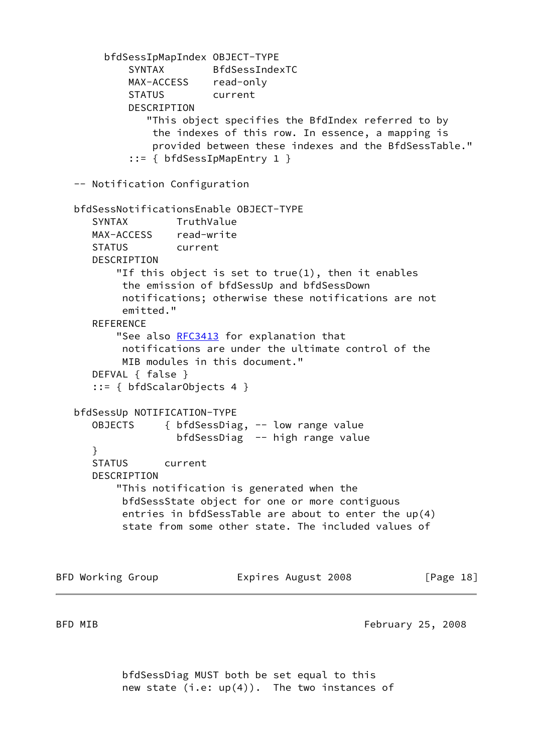bfdSessIpMapIndex OBJECT-TYPE SYNTAX BfdSessIndexTC MAX-ACCESS read-only STATUS current DESCRIPTION "This object specifies the BfdIndex referred to by the indexes of this row. In essence, a mapping is provided between these indexes and the BfdSessTable." ::= { bfdSessIpMapEntry 1 } -- Notification Configuration bfdSessNotificationsEnable OBJECT-TYPE SYNTAX TruthValue MAX-ACCESS read-write STATUS current DESCRIPTION "If this object is set to true(1), then it enables the emission of bfdSessUp and bfdSessDown notifications; otherwise these notifications are not emitted." **REFERENCE** "See also [RFC3413](https://datatracker.ietf.org/doc/pdf/rfc3413) for explanation that notifications are under the ultimate control of the MIB modules in this document." DEFVAL { false } ::= { bfdScalarObjects 4 } bfdSessUp NOTIFICATION-TYPE OBJECTS { bfdSessDiag, -- low range value bfdSessDiag -- high range value } STATUS current DESCRIPTION "This notification is generated when the bfdSessState object for one or more contiguous entries in bfdSessTable are about to enter the up(4) state from some other state. The included values of

BFD Working Group **Expires August 2008** [Page 18]

BFD MIB **February 25, 2008** 

 bfdSessDiag MUST both be set equal to this new state  $(i.e: up(4))$ . The two instances of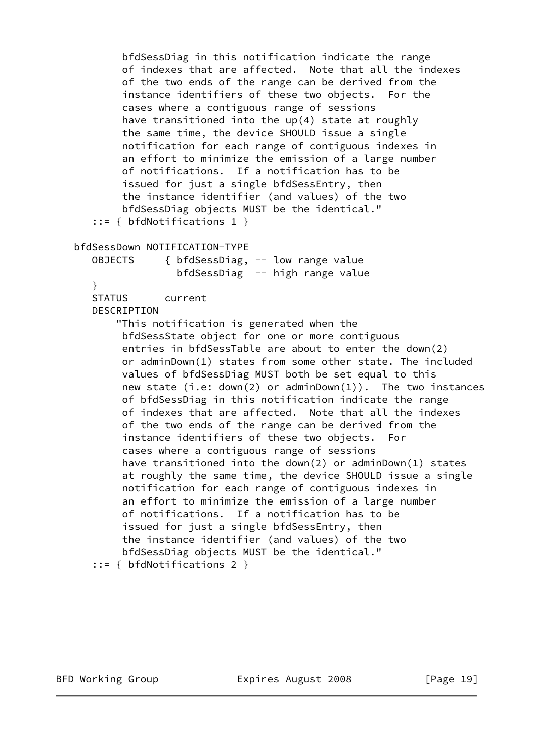```
 bfdSessDiag in this notification indicate the range
         of indexes that are affected. Note that all the indexes
         of the two ends of the range can be derived from the
         instance identifiers of these two objects. For the
         cases where a contiguous range of sessions
         have transitioned into the up(4) state at roughly
         the same time, the device SHOULD issue a single
         notification for each range of contiguous indexes in
         an effort to minimize the emission of a large number
         of notifications. If a notification has to be
         issued for just a single bfdSessEntry, then
         the instance identifier (and values) of the two
         bfdSessDiag objects MUST be the identical."
    ::= { bfdNotifications 1 }
 bfdSessDown NOTIFICATION-TYPE
   OBJECTS { bfdSessDiag, -- low range value
                  bfdSessDiag -- high range value
    }
    STATUS current
    DESCRIPTION
        "This notification is generated when the
         bfdSessState object for one or more contiguous
         entries in bfdSessTable are about to enter the down(2)
         or adminDown(1) states from some other state. The included
         values of bfdSessDiag MUST both be set equal to this
         new state (i.e: down(2) or adminDown(1)). The two instances
         of bfdSessDiag in this notification indicate the range
         of indexes that are affected. Note that all the indexes
         of the two ends of the range can be derived from the
         instance identifiers of these two objects. For
         cases where a contiguous range of sessions
         have transitioned into the down(2) or adminDown(1) states
         at roughly the same time, the device SHOULD issue a single
         notification for each range of contiguous indexes in
         an effort to minimize the emission of a large number
         of notifications. If a notification has to be
         issued for just a single bfdSessEntry, then
         the instance identifier (and values) of the two
         bfdSessDiag objects MUST be the identical."
    ::= { bfdNotifications 2 }
```
BFD Working Group **Expires August 2008** [Page 19]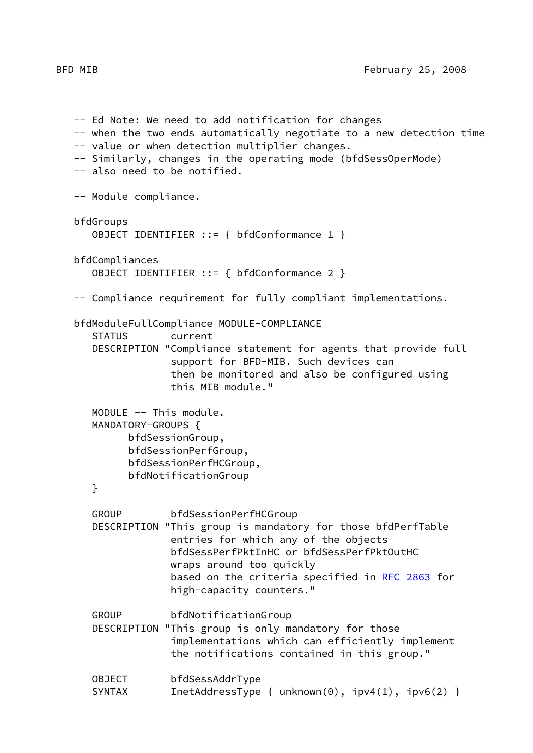-- Ed Note: We need to add notification for changes -- when the two ends automatically negotiate to a new detection time -- value or when detection multiplier changes. -- Similarly, changes in the operating mode (bfdSessOperMode) -- also need to be notified. -- Module compliance. bfdGroups OBJECT IDENTIFIER ::= { bfdConformance 1 } bfdCompliances OBJECT IDENTIFIER ::= { bfdConformance 2 } -- Compliance requirement for fully compliant implementations. bfdModuleFullCompliance MODULE-COMPLIANCE STATUS current DESCRIPTION "Compliance statement for agents that provide full support for BFD-MIB. Such devices can then be monitored and also be configured using this MIB module." MODULE -- This module. MANDATORY-GROUPS { bfdSessionGroup, bfdSessionPerfGroup, bfdSessionPerfHCGroup, bfdNotificationGroup } GROUP bfdSessionPerfHCGroup DESCRIPTION "This group is mandatory for those bfdPerfTable entries for which any of the objects bfdSessPerfPktInHC or bfdSessPerfPktOutHC wraps around too quickly based on the criteria specified in [RFC 2863](https://datatracker.ietf.org/doc/pdf/rfc2863) for high-capacity counters." GROUP bfdNotificationGroup DESCRIPTION "This group is only mandatory for those implementations which can efficiently implement the notifications contained in this group." OBJECT bfdSessAddrType SYNTAX InetAddressType { unknown(0), ipv4(1), ipv6(2) }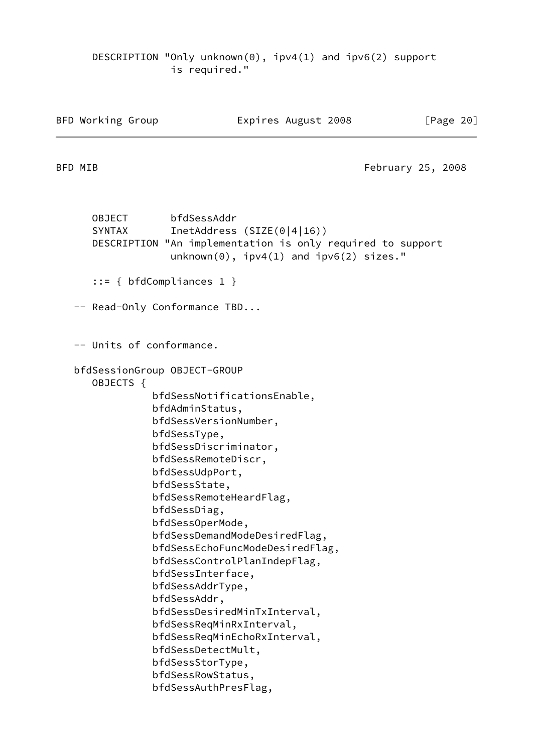DESCRIPTION "Only unknown(0), ipv4(1) and ipv6(2) support is required."

BFD Working Group **Expires August 2008** [Page 20]

BFD MIB **February 25, 2008** 

 OBJECT bfdSessAddr SYNTAX InetAddress (SIZE(0|4|16)) DESCRIPTION "An implementation is only required to support unknown(0), ipv4(1) and ipv6(2) sizes." ::= { bfdCompliances 1 } -- Read-Only Conformance TBD... -- Units of conformance. bfdSessionGroup OBJECT-GROUP OBJECTS { bfdSessNotificationsEnable, bfdAdminStatus, bfdSessVersionNumber, bfdSessType, bfdSessDiscriminator, bfdSessRemoteDiscr, bfdSessUdpPort, bfdSessState, bfdSessRemoteHeardFlag, bfdSessDiag, bfdSessOperMode, bfdSessDemandModeDesiredFlag, bfdSessEchoFuncModeDesiredFlag, bfdSessControlPlanIndepFlag, bfdSessInterface, bfdSessAddrType, bfdSessAddr, bfdSessDesiredMinTxInterval, bfdSessReqMinRxInterval, bfdSessReqMinEchoRxInterval, bfdSessDetectMult, bfdSessStorType, bfdSessRowStatus, bfdSessAuthPresFlag,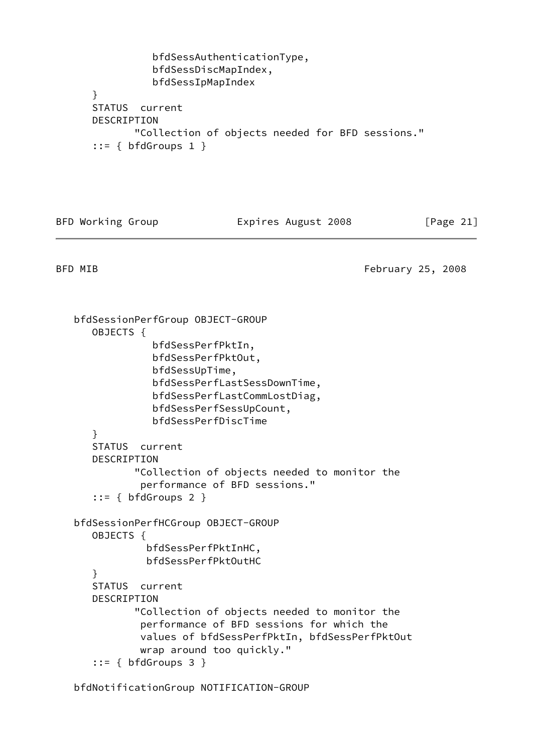```
 bfdSessAuthenticationType,
           bfdSessDiscMapIndex,
           bfdSessIpMapIndex
 }
 STATUS current
 DESCRIPTION
        "Collection of objects needed for BFD sessions."
 ::= { bfdGroups 1 }
```
BFD Working Group **Expires August 2008** [Page 21]

BFD MIB **February 25, 2008** 

 bfdSessionPerfGroup OBJECT-GROUP OBJECTS { bfdSessPerfPktIn, bfdSessPerfPktOut, bfdSessUpTime, bfdSessPerfLastSessDownTime, bfdSessPerfLastCommLostDiag, bfdSessPerfSessUpCount, bfdSessPerfDiscTime } STATUS current DESCRIPTION "Collection of objects needed to monitor the performance of BFD sessions."  $::=$  { bfdGroups 2 } bfdSessionPerfHCGroup OBJECT-GROUP OBJECTS { bfdSessPerfPktInHC, bfdSessPerfPktOutHC } STATUS current DESCRIPTION "Collection of objects needed to monitor the performance of BFD sessions for which the values of bfdSessPerfPktIn, bfdSessPerfPktOut wrap around too quickly."  $::=$  { bfdGroups 3 }

bfdNotificationGroup NOTIFICATION-GROUP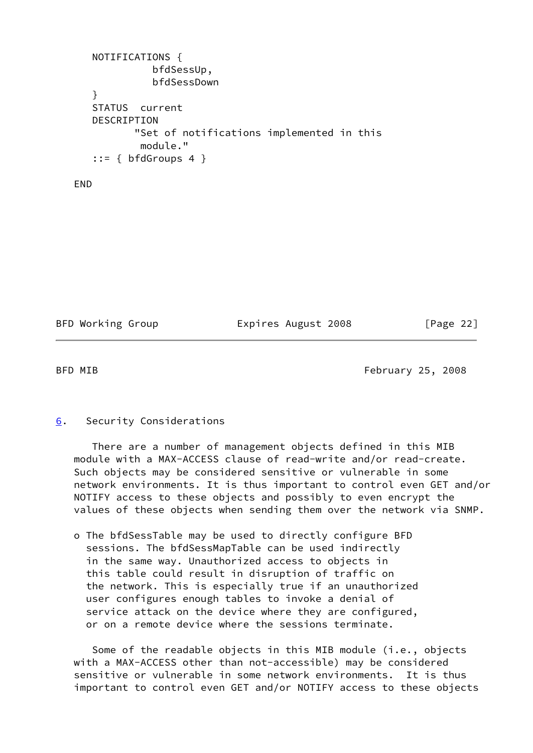```
 NOTIFICATIONS {
           bfdSessUp,
           bfdSessDown
 }
 STATUS current
 DESCRIPTION
        "Set of notifications implemented in this
         module."
::= { bfdGroups 4 }
```
END

BFD Working Group **Expires August 2008** [Page 22]

<span id="page-25-1"></span>

BFD MIB **February 25, 2008** 

### <span id="page-25-0"></span>[6](#page-25-0). Security Considerations

 There are a number of management objects defined in this MIB module with a MAX-ACCESS clause of read-write and/or read-create. Such objects may be considered sensitive or vulnerable in some network environments. It is thus important to control even GET and/or NOTIFY access to these objects and possibly to even encrypt the values of these objects when sending them over the network via SNMP.

 o The bfdSessTable may be used to directly configure BFD sessions. The bfdSessMapTable can be used indirectly in the same way. Unauthorized access to objects in this table could result in disruption of traffic on the network. This is especially true if an unauthorized user configures enough tables to invoke a denial of service attack on the device where they are configured, or on a remote device where the sessions terminate.

 Some of the readable objects in this MIB module (i.e., objects with a MAX-ACCESS other than not-accessible) may be considered sensitive or vulnerable in some network environments. It is thus important to control even GET and/or NOTIFY access to these objects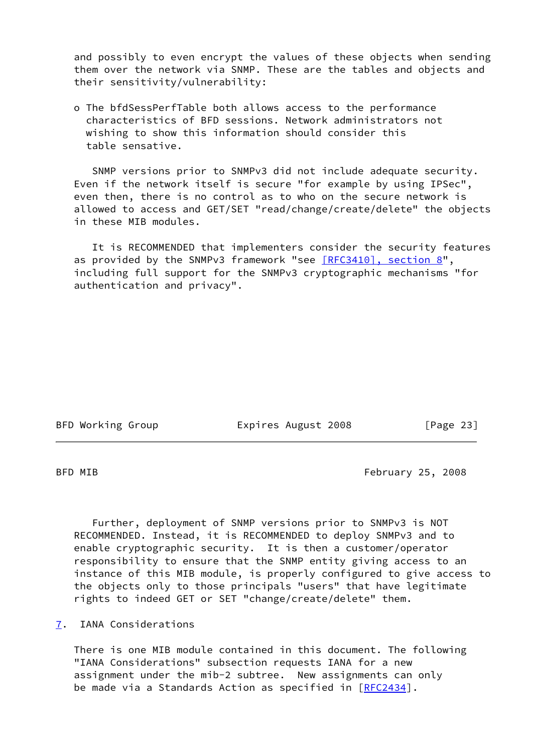and possibly to even encrypt the values of these objects when sending them over the network via SNMP. These are the tables and objects and their sensitivity/vulnerability:

 o The bfdSessPerfTable both allows access to the performance characteristics of BFD sessions. Network administrators not wishing to show this information should consider this table sensative.

 SNMP versions prior to SNMPv3 did not include adequate security. Even if the network itself is secure "for example by using IPSec", even then, there is no control as to who on the secure network is allowed to access and GET/SET "read/change/create/delete" the objects in these MIB modules.

 It is RECOMMENDED that implementers consider the security features as provided by the SNMPv3 framework "see [\[RFC3410\], section](https://datatracker.ietf.org/doc/pdf/rfc3410#section-8) 8", including full support for the SNMPv3 cryptographic mechanisms "for authentication and privacy".

BFD Working Group **Expires August 2008** [Page 23]

<span id="page-26-1"></span>BFD MIB **February 25, 2008** 

 Further, deployment of SNMP versions prior to SNMPv3 is NOT RECOMMENDED. Instead, it is RECOMMENDED to deploy SNMPv3 and to enable cryptographic security. It is then a customer/operator responsibility to ensure that the SNMP entity giving access to an instance of this MIB module, is properly configured to give access to the objects only to those principals "users" that have legitimate rights to indeed GET or SET "change/create/delete" them.

<span id="page-26-0"></span>[7](#page-26-0). IANA Considerations

 There is one MIB module contained in this document. The following "IANA Considerations" subsection requests IANA for a new assignment under the mib-2 subtree. New assignments can only be made via a Standards Action as specified in [\[RFC2434](https://datatracker.ietf.org/doc/pdf/rfc2434)].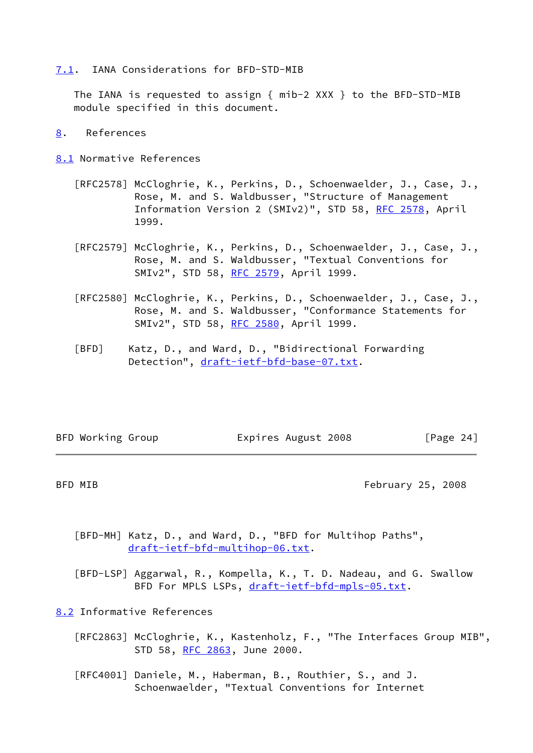#### <span id="page-27-1"></span>[7.1](#page-27-1). IANA Considerations for BFD-STD-MIB

 The IANA is requested to assign { mib-2 XXX } to the BFD-STD-MIB module specified in this document.

- <span id="page-27-2"></span>[8](#page-27-2). References
- <span id="page-27-3"></span>[8.1](#page-27-3) Normative References
	- [RFC2578] McCloghrie, K., Perkins, D., Schoenwaelder, J., Case, J., Rose, M. and S. Waldbusser, "Structure of Management Information Version 2 (SMIv2)", STD 58, [RFC 2578](https://datatracker.ietf.org/doc/pdf/rfc2578), April 1999.
	- [RFC2579] McCloghrie, K., Perkins, D., Schoenwaelder, J., Case, J., Rose, M. and S. Waldbusser, "Textual Conventions for SMIv2", STD 58, [RFC 2579](https://datatracker.ietf.org/doc/pdf/rfc2579), April 1999.
	- [RFC2580] McCloghrie, K., Perkins, D., Schoenwaelder, J., Case, J., Rose, M. and S. Waldbusser, "Conformance Statements for SMIv2", STD 58, [RFC 2580](https://datatracker.ietf.org/doc/pdf/rfc2580), April 1999.
	- [BFD] Katz, D., and Ward, D., "Bidirectional Forwarding Detection", [draft-ietf-bfd-base-07.txt.](https://datatracker.ietf.org/doc/pdf/draft-ietf-bfd-base-07.txt)

<span id="page-27-0"></span>BFD Working Group **Expires August 2008** [Page 24]

<span id="page-27-5"></span>BFD MIB **February 25, 2008** 

<span id="page-27-6"></span> [BFD-MH] Katz, D., and Ward, D., "BFD for Multihop Paths", [draft-ietf-bfd-multihop-06.txt](https://datatracker.ietf.org/doc/pdf/draft-ietf-bfd-multihop-06.txt).

<span id="page-27-7"></span> [BFD-LSP] Aggarwal, R., Kompella, K., T. D. Nadeau, and G. Swallow BFD For MPLS LSPs, [draft-ietf-bfd-mpls-05.txt.](https://datatracker.ietf.org/doc/pdf/draft-ietf-bfd-mpls-05.txt)

<span id="page-27-4"></span>[8.2](#page-27-4) Informative References

- [RFC2863] McCloghrie, K., Kastenholz, F., "The Interfaces Group MIB", STD 58, [RFC 2863](https://datatracker.ietf.org/doc/pdf/rfc2863), June 2000.
- [RFC4001] Daniele, M., Haberman, B., Routhier, S., and J. Schoenwaelder, "Textual Conventions for Internet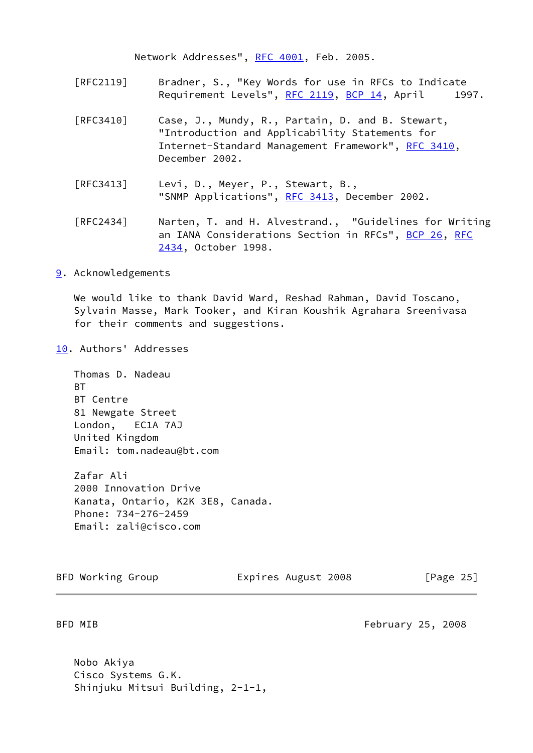Network Addresses", [RFC 4001](https://datatracker.ietf.org/doc/pdf/rfc4001), Feb. 2005.

- [RFC2119] Bradner, S., "Key Words for use in RFCs to Indicate Requirement Levels", [RFC 2119,](https://datatracker.ietf.org/doc/pdf/rfc2119) [BCP 14](https://datatracker.ietf.org/doc/pdf/bcp14), April 1997.
- [RFC3410] Case, J., Mundy, R., Partain, D. and B. Stewart, "Introduction and Applicability Statements for Internet-Standard Management Framework", [RFC 3410,](https://datatracker.ietf.org/doc/pdf/rfc3410) December 2002.
- [RFC3413] Levi, D., Meyer, P., Stewart, B., "SNMP Applications", [RFC 3413,](https://datatracker.ietf.org/doc/pdf/rfc3413) December 2002.
- [RFC2434] Narten, T. and H. Alvestrand., "Guidelines for Writing an IANA Considerations Section in RFCs", [BCP 26](https://datatracker.ietf.org/doc/pdf/bcp26), [RFC](https://datatracker.ietf.org/doc/pdf/rfc2434) [2434](https://datatracker.ietf.org/doc/pdf/rfc2434), October 1998.

<span id="page-28-0"></span>[9](#page-28-0). Acknowledgements

 We would like to thank David Ward, Reshad Rahman, David Toscano, Sylvain Masse, Mark Tooker, and Kiran Koushik Agrahara Sreenivasa for their comments and suggestions.

<span id="page-28-1"></span>[10.](#page-28-1) Authors' Addresses

 Thomas D. Nadeau **BT**  BT Centre 81 Newgate Street London, EC1A 7AJ United Kingdom Email: tom.nadeau@bt.com

 Zafar Ali 2000 Innovation Drive Kanata, Ontario, K2K 3E8, Canada. Phone: 734-276-2459 Email: zali@cisco.com

BFD Working Group **Expires August 2008** [Page 25]

<span id="page-28-2"></span>BFD MIB **February 25, 2008** 

 Nobo Akiya Cisco Systems G.K. Shinjuku Mitsui Building, 2-1-1,